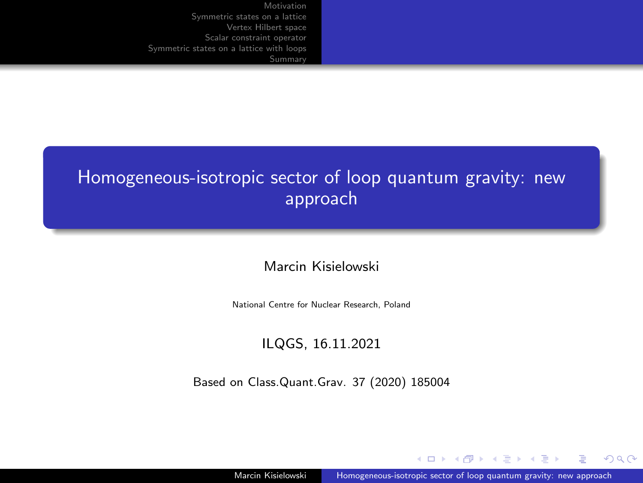# <span id="page-0-0"></span>Homogeneous-isotropic sector of loop quantum gravity: new approach

Marcin Kisielowski

National Centre for Nuclear Research, Poland

#### ILQGS, 16.11.2021

Based on Class.Quant.Grav. 37 (2020) 185004

 $2990$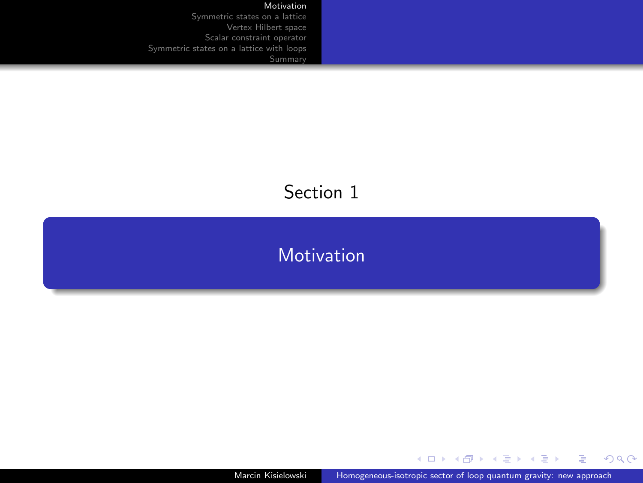#### [Motivation](#page-1-0)

<span id="page-1-0"></span>[Symmetric states on a lattice](#page-4-0) [Vertex Hilbert space](#page-11-0) [Scalar constraint operator](#page-15-0) [Symmetric states on a lattice with loops](#page-24-0)

# Section 1

#### **[Motivation](#page-1-0)**

Marcin Kisielowski [Homogeneous-isotropic sector of loop quantum gravity: new approach](#page-0-0)

メロトメ 御 トメ ミトメ ミト

E.

 $299$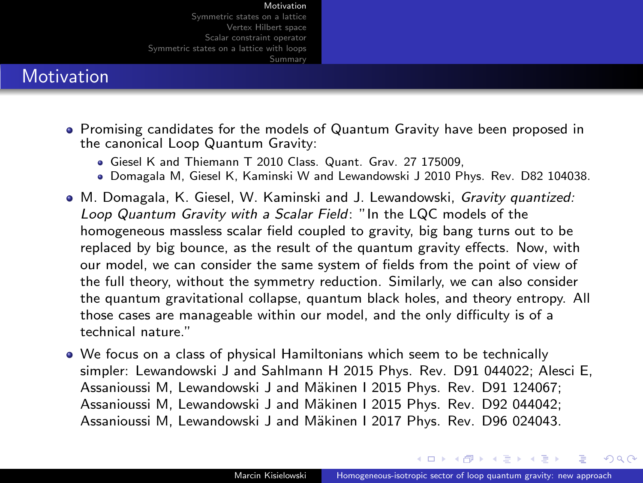#### **Motivation**

- Promising candidates for the models of Quantum Gravity have been proposed in the canonical Loop Quantum Gravity:
	- Giesel K and Thiemann T 2010 Class. Quant. Grav. 27 175009,
	- Domagala M, Giesel K, Kaminski W and Lewandowski J 2010 Phys. Rev. D82 104038.
- M. Domagala, K. Giesel, W. Kaminski and J. Lewandowski, Gravity quantized: Loop Quantum Gravity with a Scalar Field: "In the LQC models of the homogeneous massless scalar field coupled to gravity, big bang turns out to be replaced by big bounce, as the result of the quantum gravity effects. Now, with our model, we can consider the same system of fields from the point of view of the full theory, without the symmetry reduction. Similarly, we can also consider the quantum gravitational collapse, quantum black holes, and theory entropy. All those cases are manageable within our model, and the only difficulty is of a technical nature."
- We focus on a class of physical Hamiltonians which seem to be technically simpler: Lewandowski J and Sahlmann H 2015 Phys. Rev. D91 044022; Alesci E, Assanioussi M, Lewandowski J and Mäkinen I 2015 Phys. Rev. D91 124067; Assanioussi M, Lewandowski J and Mäkinen I 2015 Phys. Rev. D92 044042; Assanioussi M. Lewandowski J and Mäkinen I 2017 Phys. Rev. D96 024043.

**A BA A BA**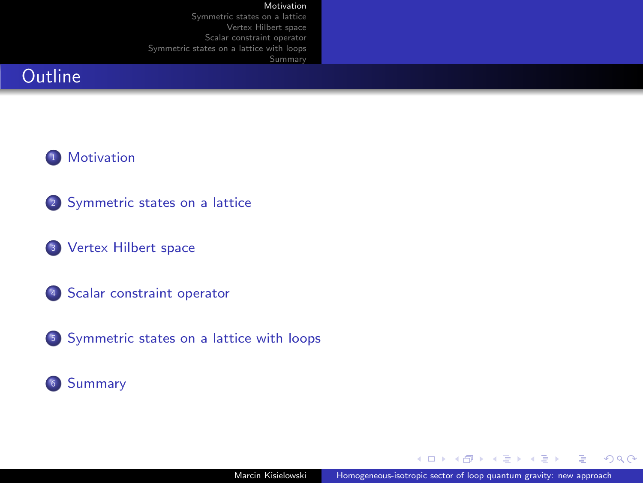#### **Outline**



- 2 [Symmetric states on a lattice](#page-4-0)
- <sup>3</sup> [Vertex Hilbert space](#page-11-0)
- <sup>4</sup> [Scalar constraint operator](#page-15-0)
- <sup>5</sup> [Symmetric states on a lattice with loops](#page-24-0)



 $QQ$ 

Ξ

化重复 化重复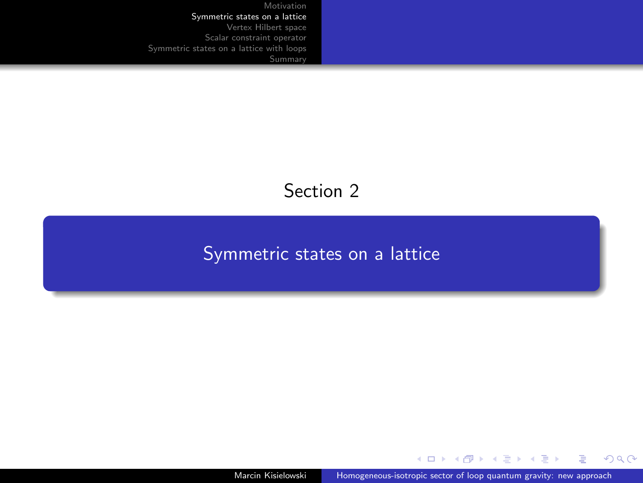# Section 2

# <span id="page-4-0"></span>[Symmetric states on a lattice](#page-4-0)

 $\left\{ \begin{array}{ccc} 1 & 0 & 0 \\ 0 & 1 & 0 \end{array} \right.$ 

 $299$ 

Þ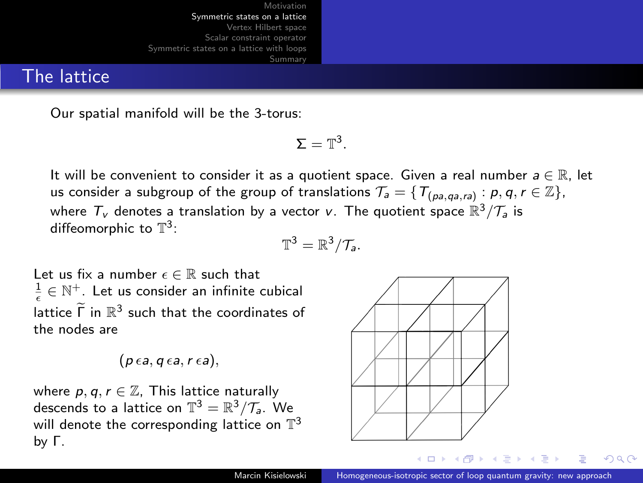#### The lattice

Our spatial manifold will be the 3-torus:

$$
\Sigma=\mathbb{T}^3.
$$

It will be convenient to consider it as a quotient space. Given a real number  $a \in \mathbb{R}$ , let us consider a subgroup of the group of translations  $\mathcal{T}_a=\set{\mathcal{T}_{(p a, q a, r a)}: p, q, r \in \mathbb{Z}},$ where  $T_v$  denotes a translation by a vector v. The quotient space  $\mathbb{R}^3/\mathcal{T}_a$  is diffeomorphic to  $\mathbb{T}^3$ :

$$
\mathbb{T}^3 = \mathbb{R}^3/\mathcal{T}_a.
$$

Let us fix a number  $\epsilon \in \mathbb{R}$  such that  $\frac{1}{\epsilon} \in \mathbb{N}^+$ . Let us consider an infinite cubical lattice  $\widetilde{\Gamma}$  in  $\mathbb{R}^3$  such that the coordinates of the nodes are

$$
(p \epsilon a, q \epsilon a, r \epsilon a),
$$

where  $p, q, r \in \mathbb{Z}$ , This lattice naturally descends to a lattice on  $\mathbb{T}^3 = \mathbb{R}^3/\mathcal{T}_\mathsf{a}$ . We will denote the corresponding lattice on  $\mathbb{T}^3$ by Γ.

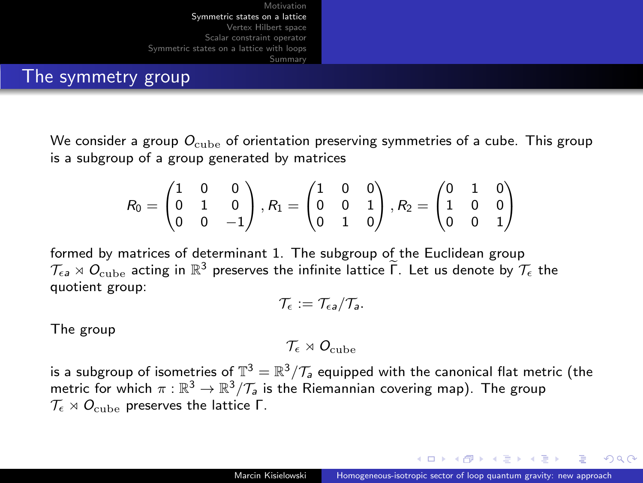

The symmetry group

We consider a group  $O_{\text{cube}}$  of orientation preserving symmetries of a cube. This group is a subgroup of a group generated by matrices

$$
R_0=\begin{pmatrix} 1 & 0 & 0 \\ 0 & 1 & 0 \\ 0 & 0 & -1 \end{pmatrix}, R_1=\begin{pmatrix} 1 & 0 & 0 \\ 0 & 0 & 1 \\ 0 & 1 & 0 \end{pmatrix}, R_2=\begin{pmatrix} 0 & 1 & 0 \\ 1 & 0 & 0 \\ 0 & 0 & 1 \end{pmatrix}
$$

formed by matrices of determinant 1. The subgroup of the Euclidean group  $\mathcal{T}_{\epsilon a} \rtimes O_{\text{cube}}$  acting in  $\mathbb{R}^3$  preserves the infinite lattice  $\widetilde{\Gamma}$ . Let us denote by  $\mathcal{T}_{\epsilon}$  the quotient group:

$$
\mathcal{T}_{\epsilon}:=\mathcal{T}_{\epsilon a}/\mathcal{T}_{a}.
$$

The group

 $\mathcal{T}_{\epsilon} \rtimes O_{\text{cube}}$ 

is a subgroup of isometries of  $\mathbb{T}^3=\mathbb{R}^3/\mathcal{T}_\mathsf{a}$  equipped with the canonical flat metric (the metric for which  $\pi : \mathbb{R}^3 \to \mathbb{R}^3/\mathcal{T}_a$  is the Riemannian covering map). The group  $\mathcal{T}_{\epsilon} \rtimes O_{\text{cube}}$  preserves the lattice Γ.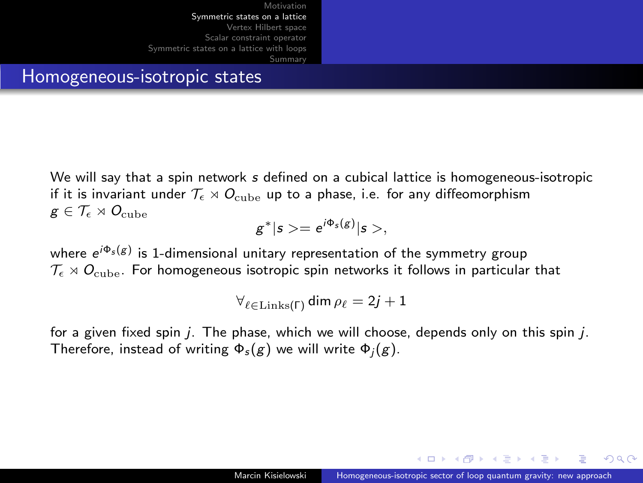#### Homogeneous-isotropic states

We will say that a spin network s defined on a cubical lattice is homogeneous-isotropic if it is invariant under  $\mathcal{T}_{\epsilon} \rtimes O_{\text{cube}}$  up to a phase, i.e. for any diffeomorphism  $g \in \mathcal{T}_{\epsilon} \rtimes O_{\text{cube}}$ 

$$
g^*|s>=e^{i\Phi_s(g)}|s>,
$$

where  $e^{i\Phi_s({\cal g})}$  is 1-dimensional unitary representation of the symmetry group  $\mathcal{T}_{\epsilon} \rtimes O_{\text{cube}}$ . For homogeneous isotropic spin networks it follows in particular that

$$
\forall_{\ell \in \text{Links}(\Gamma)} \dim \rho_{\ell} = 2j+1
$$

for a given fixed spin  $j$ . The phase, which we will choose, depends only on this spin  $j$ . Therefore, instead of writing  $\Phi_s(g)$  we will write  $\Phi_i(g)$ .

 $\lambda$  in the set of the  $\lambda$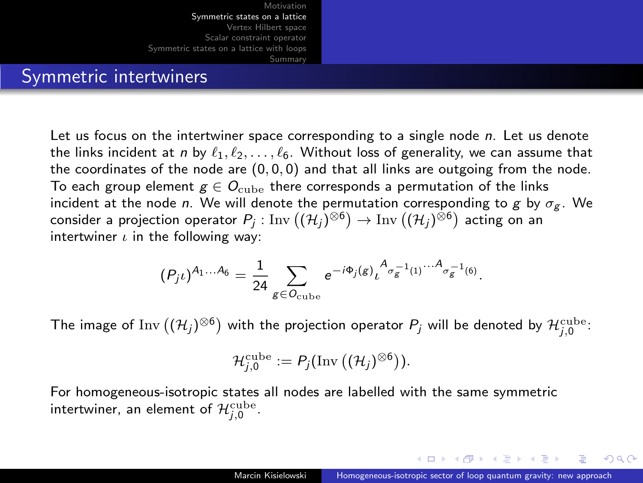

#### Symmetric intertwiners

Let us focus on the intertwiner space corresponding to a single node  $n$ . Let us denote the links incident at n by  $\ell_1, \ell_2, \ldots, \ell_6$ . Without loss of generality, we can assume that the coordinates of the node are  $(0, 0, 0)$  and that all links are outgoing from the node. To each group element  $g \in O_{\text{cube}}$  there corresponds a permutation of the links incident at the node n. We will denote the permutation corresponding to g by  $\sigma_{g}$ . We consider a projection operator  $P_j$  :  $\text{Inv}\left((\mathcal{H}_j)^{\otimes 6}\right)\to \text{Inv}\left((\mathcal{H}_j)^{\otimes 6}\right)$  acting on an intertwiner  $\iota$  in the following way:

$$
(P_j \iota)^{A_1...A_6} = \frac{1}{24} \sum_{g \in O_{\text{cube}}} e^{-i\Phi_j(g)} \iota^A_{\sigma_g^{-1}(1)} \cdots A_{\sigma_g^{-1}(6)}.
$$

The image of  $\text{Inv}\left((\mathcal{H}_{j})^{\otimes 6}\right)$  with the projection operator  $P_{j}$  will be denoted by  $\mathcal{H}_{j,0}^{\text{cube}}$ :

$$
\mathcal{H}_{j,0}^{\text{cube}}:=P_j(\text{Inv}\left((\mathcal{H}_j)^{\otimes 6}\right)).
$$

For homogeneous-isotropic states all nodes are labelled with the same symmetric intertwiner, an element of  $\mathcal{H}_{j,0}^{\text{cube}}.$ 

マーロー マーティング・コール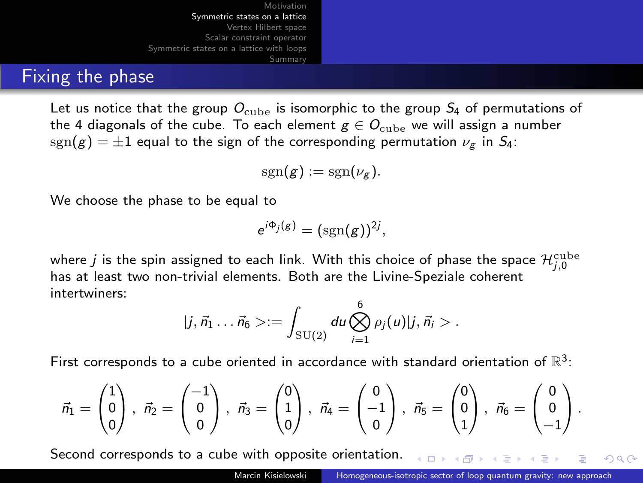#### Fixing the phase

Let us notice that the group  $O_{\text{cube}}$  is isomorphic to the group  $S_4$  of permutations of the 4 diagonals of the cube. To each element  $g \in O_{\text{cube}}$  we will assign a number  $sgn(g) = \pm 1$  equal to the sign of the corresponding permutation  $\nu_{\sigma}$  in  $S_4$ :

$$
\mathrm{sgn}(g):=\mathrm{sgn}(\nu_g).
$$

We choose the phase to be equal to

$$
e^{i\Phi_j(g)}=(\mathrm{sgn}(g))^{2j},
$$

where  $j$  is the spin assigned to each link. With this choice of phase the space  $\mathcal{H}_{j,0}^{\text{cube}}$ has at least two non-trivial elements. Both are the Livine-Speziale coherent intertwiners:

$$
|j,\vec{n}_1 \dots \vec{n}_6> := \int_{\text{SU}(2)} du \bigotimes_{i=1}^6 \rho_j(u) |j,\vec{n}_i> .
$$

First corresponds to a cube oriented in accordance with standard orientation of  $\mathbb{R}^3$ :

$$
\vec{n}_1 = \begin{pmatrix} 1 \\ 0 \\ 0 \end{pmatrix}, \ \vec{n}_2 = \begin{pmatrix} -1 \\ 0 \\ 0 \end{pmatrix}, \ \vec{n}_3 = \begin{pmatrix} 0 \\ 1 \\ 0 \end{pmatrix}, \ \vec{n}_4 = \begin{pmatrix} 0 \\ -1 \\ 0 \end{pmatrix}, \ \vec{n}_5 = \begin{pmatrix} 0 \\ 0 \\ 1 \end{pmatrix}, \ \vec{n}_6 = \begin{pmatrix} 0 \\ 0 \\ -1 \end{pmatrix}.
$$

Second corresponds to a cube with opposite orientation.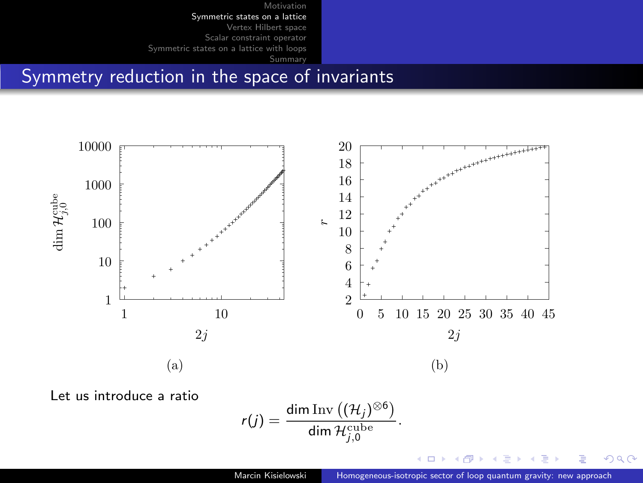Symmetry reduction in the space of invariants



Let us introduce a ratio

$$
r(j) = \frac{\dim \mathrm{Inv}\left((\mathcal{H}_j)^{\otimes 6}\right)}{\dim \mathcal{H}_{j,0}^{\text{cube}}}
$$

 $299$ 

∍

舌

.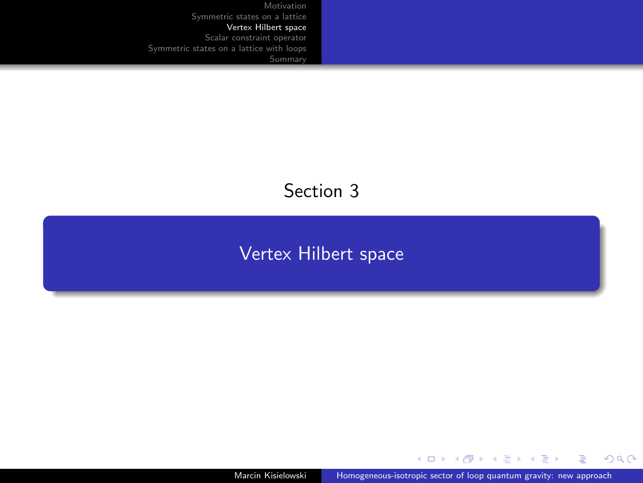# <span id="page-11-0"></span>Section 3

#### [Vertex Hilbert space](#page-11-0)

Marcin Kisielowski [Homogeneous-isotropic sector of loop quantum gravity: new approach](#page-0-0)

メロトメ 御 トメ 君 トメ 君 ト

E

 $299$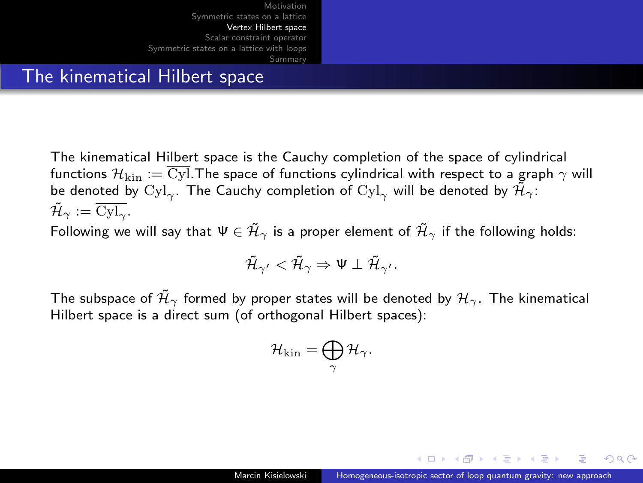#### The kinematical Hilbert space

The kinematical Hilbert space is the Cauchy completion of the space of cylindrical functions  $\mathcal{H}_{\text{kin}} := \overline{\text{Cyl}}$ . The space of functions cylindrical with respect to a graph  $\gamma$  will be denoted by  $\text{Cyl}_\gamma.$  The Cauchy completion of  $\text{Cyl}_\gamma$  will be denoted by  $\tilde{\mathcal{H}}_\gamma.$  $\tilde{\mathcal{H}}_{\gamma} := \overline{\text{Cyl}_{\gamma}}.$ 

Following we will say that  $\Psi \in \tilde{\mathcal{H}}_{\gamma}$  is a proper element of  $\tilde{\mathcal{H}}_{\gamma}$  if the following holds:

$$
\tilde{\mathcal{H}}_{\gamma'} < \tilde{\mathcal{H}}_{\gamma} \Rightarrow \Psi \perp \tilde{\mathcal{H}}_{\gamma'}.
$$

The subspace of  $\mathcal{H}_{\gamma}$  formed by proper states will be denoted by  $\mathcal{H}_{\gamma}$ . The kinematical Hilbert space is a direct sum (of orthogonal Hilbert spaces):

$$
{\cal H}_{\rm kin}=\bigoplus_\gamma {\cal H}_\gamma.
$$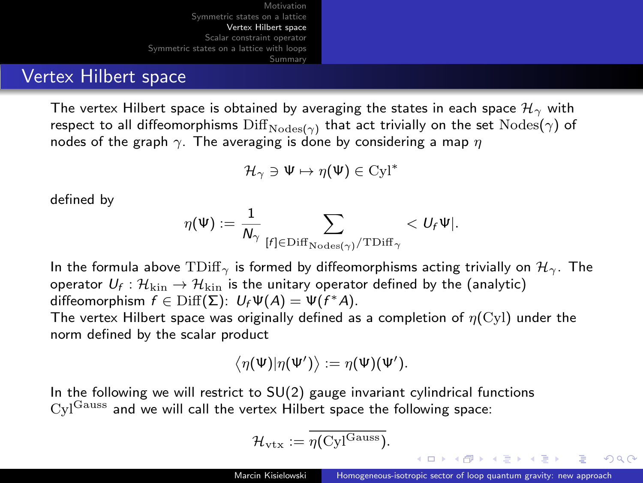#### Vertex Hilbert space

The vertex Hilbert space is obtained by averaging the states in each space  $\mathcal{H}_{\gamma}$  with respect to all diffeomorphisms  $\mathrm{Diff}_{\mathrm{Nodes}(\gamma)}$  that act trivially on the set  $\mathrm{Nodes}(\gamma)$  of nodes of the graph  $\gamma$ . The averaging is done by considering a map  $\eta$ 

$$
\mathcal{H}_{\gamma} \ni \Psi \mapsto \eta(\Psi) \in \text{Cyl}^*
$$

defined by

$$
\eta(\Psi):=\frac{1}{N_\gamma}\sum_{[f]\in{\rm Diff}_{\rm{Nodes}(\gamma)}/{\rm{TDiff}}_\gamma} < U_f\Psi|.
$$

In the formula above  $TDiff_{\gamma}$  is formed by diffeomorphisms acting trivially on  $\mathcal{H}_{\gamma}$ . The operator  $\mathit{U_f}: \mathcal{H}_{\rm kin} \rightarrow \mathcal{H}_{\rm kin}$  is the unitary operator defined by the (analytic) diffeomorphism  $f \in \text{Diff}(\Sigma)$ :  $U_f \Psi(A) = \Psi(f^*A)$ .

The vertex Hilbert space was originally defined as a completion of  $n(Cyl)$  under the norm defined by the scalar product

$$
\langle \eta(\Psi)|\eta(\Psi')\rangle := \eta(\Psi)(\Psi').
$$

In the following we will restrict to  $SU(2)$  gauge invariant cylindrical functions  $Cyl<sup>Gauss</sup>$  and we will call the vertex Hilbert space the following space:

$$
\mathcal{H}_{\mathrm{vtx}} := \eta(\mathrm{Cyl}^{\mathrm{Gauss}}).
$$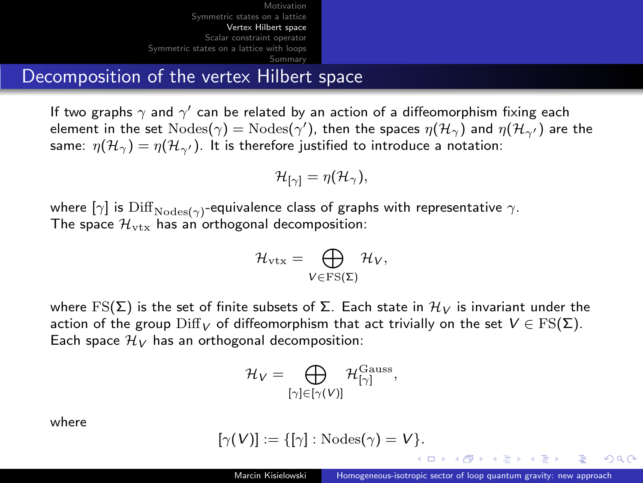### <span id="page-14-0"></span>Decomposition of the vertex Hilbert space

If two graphs  $\gamma$  and  $\gamma'$  can be related by an action of a diffeomorphism fixing each element in the set  $\text{Nodes}(\gamma) = \text{Nodes}(\gamma')$ , then the spaces  $\eta(\mathcal{H}_\gamma)$  and  $\eta(\mathcal{H}_{\gamma'})$  are the same:  $\eta(\mathcal{H}_{\gamma}) = \eta(\mathcal{H}_{\gamma'})$ . It is therefore justified to introduce a notation:

$$
\mathcal{H}_{[\gamma]} = \eta(\mathcal{H}_{\gamma}),
$$

where  $[\gamma]$  is  $\mathrm{Diff}_{\mathrm{Nodes}(\gamma)}$ -equivalence class of graphs with representative  $\gamma.$ The space  $\mathcal{H}_{\text{vtx}}$  has an orthogonal decomposition:

$$
\mathcal{H}_{\rm vtx}=\bigoplus_{V\in {\rm FS}(\Sigma)}\mathcal{H}_V,
$$

where FS( $\Sigma$ ) is the set of finite subsets of  $\Sigma$ . Each state in  $\mathcal{H}_V$  is invariant under the action of the group  $\text{Diff}_V$  of diffeomorphism that act trivially on the set  $V \in \text{FS}(\Sigma)$ . Each space  $\mathcal{H}_V$  has an orthogonal decomposition:

$$
\mathcal{H}_V = \bigoplus_{[\gamma]\in [\gamma(V)]} \mathcal{H}_{[\gamma]}^{\rm Gauss},
$$

where

$$
[\gamma(V)] := \{[\gamma]: \text{Nodes}(\gamma) = V\}.
$$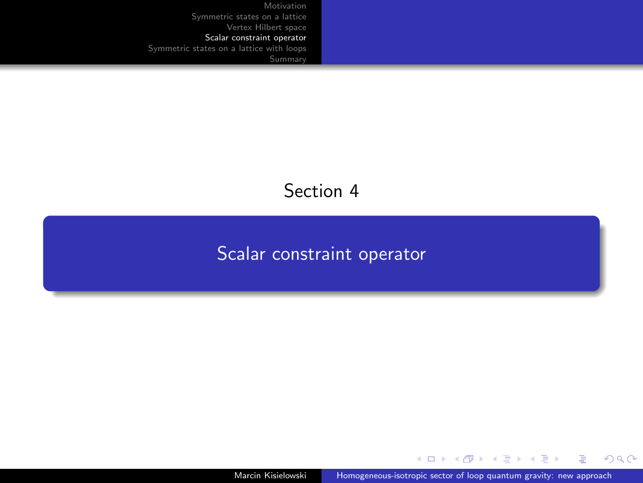### Section 4

# <span id="page-15-0"></span>[Scalar constraint operator](#page-15-0)

Marcin Kisielowski [Homogeneous-isotropic sector of loop quantum gravity: new approach](#page-0-0)

 $\left\{ \begin{array}{ccc} 1 & 0 & 0 \\ 0 & 1 & 0 \end{array} \right.$ 

E

 $299$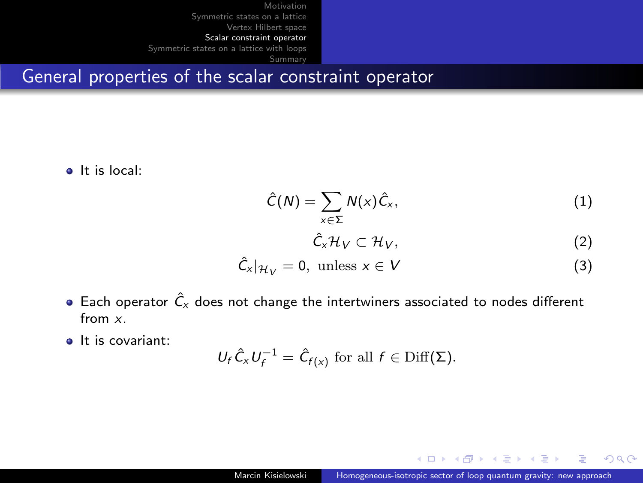General properties of the scalar constraint operator

It is local:

$$
\hat{C}(N) = \sum_{x \in \Sigma} N(x)\hat{C}_x, \qquad (1)
$$

$$
\hat{C}_x\mathcal{H}_V\subset\mathcal{H}_V,\tag{2}
$$

$$
\hat{C}_x|_{\mathcal{H}_V} = 0, \text{ unless } x \in V \tag{3}
$$

- $\bullet$  Each operator  $\hat{C}_x$  does not change the intertwiners associated to nodes different from x.
- **a** It is covariant:

$$
U_f \hat{C}_x U_f^{-1} = \hat{C}_{f(x)} \text{ for all } f \in \text{Diff}(\Sigma).
$$

 $QQ$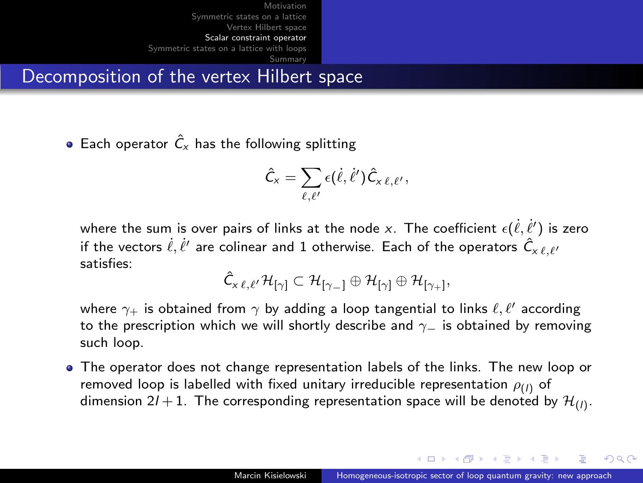Decomposition of the vertex Hilbert space

• Each operator  $\hat{C}_x$  has the following splitting

$$
\hat{C}_x = \sum_{\ell,\ell'} \epsilon(\dot{\ell},\dot{\ell}') \hat{C}_{x\ell,\ell'},
$$

where the sum is over pairs of links at the node  $x.$  The coefficient  $\epsilon(\dot{\ell},\dot{\ell}')$  is zero if the vectors  $\dot{\ell},\dot{\ell}'$  are colinear and 1 otherwise. Each of the operators  $\hat{\mathsf{C}}_{\mathsf{x}\,\ell,\ell'}$ satisfies:

$$
\hat{C}_{x\ell,\ell'}\mathcal{H}_{[\gamma]}\subset \mathcal{H}_{[\gamma_-]} \oplus \mathcal{H}_{[\gamma]}\oplus \mathcal{H}_{[\gamma_+]},
$$

where  $\gamma_+$  is obtained from  $\gamma$  by adding a loop tangential to links  $\ell, \ell'$  according to the prescription which we will shortly describe and  $\gamma$  is obtained by removing such loop.

The operator does not change representation labels of the links. The new loop or removed loop is labelled with fixed unitary irreducible representation  $\rho_{(I)}$  of dimension 2/  $+$  1. The corresponding representation space will be denoted by  $\mathcal{H}_{(I)}$ .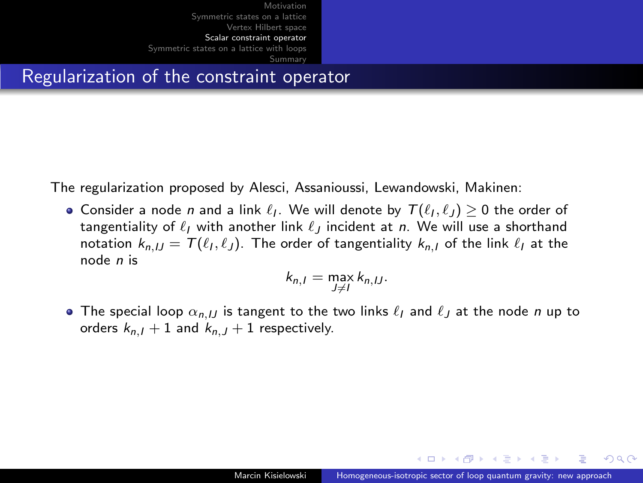Regularization of the constraint operator

The regularization proposed by Alesci, Assanioussi, Lewandowski, Makinen:

Consider a node n and a link  $\ell_I$ . We will denote by  $\mathcal{T}(\ell_I, \ell_J) \geq 0$  the order of tangentiality of  $\ell_I$  with another link  $\ell_I$  incident at n. We will use a shorthand notation  $k_{n,JJ} = \mathcal{T}(\ell_I, \ell_J).$  The order of tangentiality  $k_{n,I}$  of the link  $\ell_I$  at the node n is

$$
k_{n,I} = \max_{J \neq I} k_{n,IJ}.
$$

• The special loop  $\alpha_{n,II}$  is tangent to the two links  $\ell_I$  and  $\ell_I$  at the node n up to orders  $k_{n,l} + 1$  and  $k_{n,l} + 1$  respectively.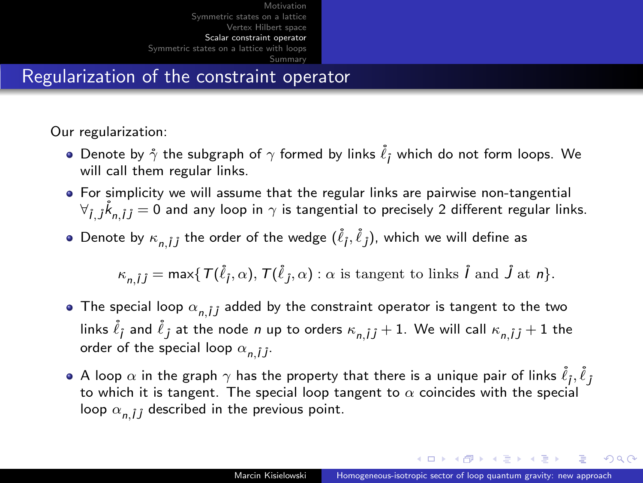<span id="page-19-0"></span>Regularization of the constraint operator

Our regularization:

- Denote by  $\mathring{\gamma}$  the subgraph of  $\gamma$  formed by links  $\mathring{\ell}_j$  which do not form loops. We will call them regular links.
- For simplicity we will assume that the regular links are pairwise non-tangential  $\forall_{\hat{I},j}\hat{k}_{n,\hat{I}J}=0$  and any loop in  $\gamma$  is tangential to precisely 2 different regular links.
- Denote by  $\kappa_{n,\hat{I}\hat{J}}$  the order of the wedge  $(\mathring{\ell}_\hat{I},\mathring{\ell}_\hat{J})$ , which we will define as

 $\kappa_{n,\hat{i}\hat{j}} = \max\{\mathcal{T}(\hat{\ell}_\hat{j}, \alpha), \mathcal{T}(\hat{\ell}_\hat{j}, \alpha) : \alpha \text{ is tangent to links } \hat{l} \text{ and } \hat{J} \text{ at } n\}.$ 

- The special loop  $\alpha_{n}$  i added by the constraint operator is tangent to the two links  $\widetilde{\ell}_j$  and  $\widetilde{\ell}_j$  at the node  $n$  up to orders  $\kappa_{n,\hat{I} \hat{J}}+1.$  We will call  $\kappa_{n,\hat{I} \hat{J}}+1$  the order of the special loop  $\alpha_{n,i,j}$ .
- A loop  $\alpha$  in the graph  $\gamma$  has the property that there is a unique pair of links  $\widetilde{\ell}_j, \widetilde{\ell}_j$ to which it is tangent. The special loop tangent to  $\alpha$  coincides with the special loop  $\alpha_{n,i,j}$  described in the previous point.

 $\mathbf{E} = \mathbf{A} \oplus \mathbf{B} + \mathbf{A} \oplus \mathbf{B} + \mathbf{A} \oplus \mathbf{B} + \mathbf{A} \oplus \mathbf{B} + \mathbf{A} \oplus \mathbf{B} + \mathbf{A} \oplus \mathbf{B} + \mathbf{A} \oplus \mathbf{B} + \mathbf{A} \oplus \mathbf{B} + \mathbf{A} \oplus \mathbf{B} + \mathbf{A} \oplus \mathbf{B} + \mathbf{A} \oplus \mathbf{B} + \mathbf{A} \oplus \mathbf{B} + \mathbf{A} \oplus \mathbf{B} + \mathbf{A$ 

 $QQ$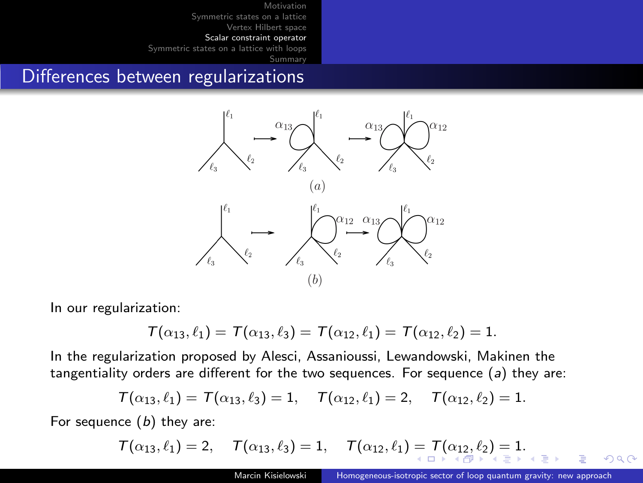[Summary](#page-30-0)

#### <span id="page-20-0"></span>Differences between regularizations



In our regularization:

$$
\mathcal{T}(\alpha_{13}, \ell_1) = \mathcal{T}(\alpha_{13}, \ell_3) = \mathcal{T}(\alpha_{12}, \ell_1) = \mathcal{T}(\alpha_{12}, \ell_2) = 1.
$$

In the regularization proposed by Alesci, Assanioussi, Lewandowski, Makinen the tangentiality orders are different for the two sequences. For sequence  $(a)$  they are:

$$
\mathcal{T}(\alpha_{13}, \ell_1) = \mathcal{T}(\alpha_{13}, \ell_3) = 1, \quad \mathcal{T}(\alpha_{12}, \ell_1) = 2, \quad \mathcal{T}(\alpha_{12}, \ell_2) = 1.
$$

For sequence  $(b)$  they are:

$$
\mathcal{T}(\alpha_{13}, \ell_1) = 2, \quad \mathcal{T}(\alpha_{13}, \ell_3) = 1, \quad \mathcal{T}(\alpha_{12}, \ell_1) = \mathcal{T}(\alpha_{12}, \ell_2) = 1.
$$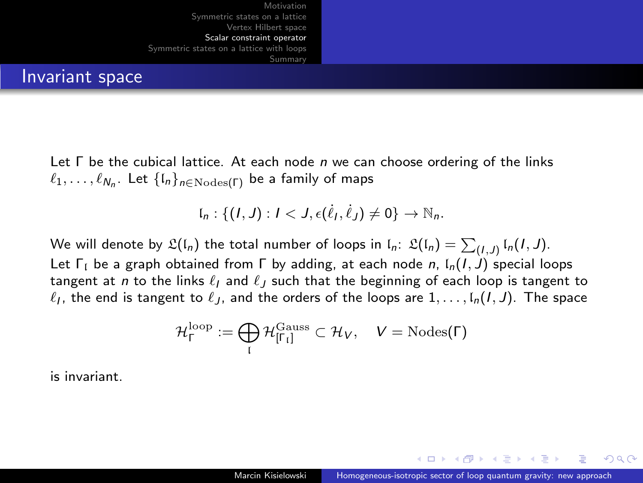<span id="page-21-0"></span>

#### Invariant space

Let  $\Gamma$  be the cubical lattice. At each node  $n$  we can choose ordering of the links  $\ell_1, \ldots, \ell_{N_n}.$  Let  $\{\mathfrak{l}_n\}_{n\in\mathrm{Nodes}(\Gamma)}$  be a family of maps

$$
\mathfrak{l}_n:\{(I,J):I
$$

We will denote by  $\mathfrak{L}(\mathfrak{l}_n)$  the total number of loops in  $\mathfrak{l}_n\colon\thinspace\mathfrak{L}(\mathfrak{l}_n)=\sum_{(I,J)}\mathfrak{l}_n(I,J).$ Let  $\Gamma_1$  be a graph obtained from  $\Gamma$  by adding, at each node n,  $\Gamma_0(I, J)$  special loops tangent at n to the links  $\ell_l$  and  $\ell_l$  such that the beginning of each loop is tangent to  $\ell_I$ , the end is tangent to  $\ell_J$ , and the orders of the loops are  $1, \ldots, \mathfrak{l}_n(I, J)$ . The space

$$
\mathcal{H}_{\Gamma}^{\text{loop}} := \bigoplus_{\mathfrak{l}} \mathcal{H}_{[\Gamma_{\mathfrak{l}}]}^{\text{Gauss}} \subset \mathcal{H}_V, \quad V = \text{Nodes}(\Gamma)
$$

is invariant.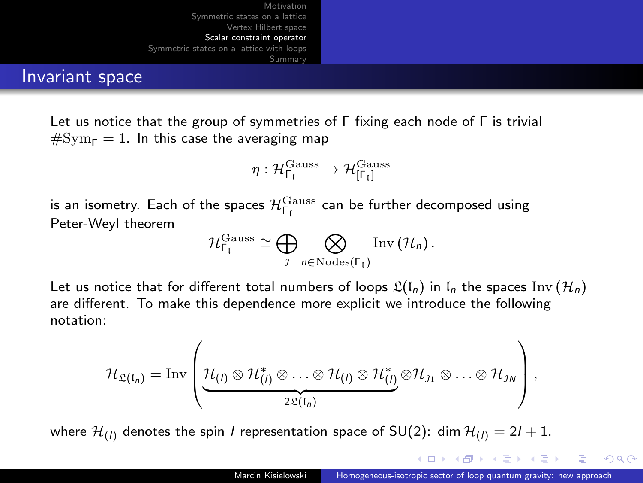<span id="page-22-0"></span>

#### Invariant space

Let us notice that the group of symmetries of Γ fixing each node of Γ is trivial  $#Sym<sub>F</sub> = 1$ . In this case the averaging map

$$
\eta: \mathcal{H}_{\Gamma_\mathfrak{l}}^{\mathrm{Gauss}} \to \mathcal{H}_{[\Gamma_\mathfrak{l}]}^{\mathrm{Gauss}}
$$

is an isometry. Each of the spaces  $\mathcal{H}^{\rm Gauss}_{\Gamma_{\rm f}}$  can be further decomposed using Peter-Weyl theorem

$$
\mathcal{H}_{\Gamma_{\mathfrak{l}}}^{\mathrm{Gauss}}\cong \bigoplus_{\jmath}\bigotimes_{n\in\mathrm{Nodes}(\Gamma_{\mathfrak{l}})}\mathrm{Inv}\left(\mathcal{H}_{n}\right).
$$

Let us notice that for different total numbers of loops  $\mathfrak{L}(\mathfrak{l}_n)$  in  $\mathfrak{l}_n$  the spaces Inv  $(\mathcal{H}_n)$ are different. To make this dependence more explicit we introduce the following notation:

$$
\mathcal{H}_{\mathfrak{L}(I_n)}=\mathrm{Inv}\left(\underbrace{\mathcal{H}_{(I)}\otimes\mathcal{H}^*_{(I)}\otimes\ldots\otimes\mathcal{H}_{(I)}\otimes\mathcal{H}^*_{(I)}}_{2\mathfrak{L}(I_n)}\otimes\mathcal{H}_{J1}\otimes\ldots\otimes\mathcal{H}_{J_N}\right),
$$

where  $\mathcal{H}_{(l)}$  denotes the spin *l* representation space of SU(2): dim  $\mathcal{H}_{(l)} = 2l + 1$ .

イロ トラ 相 トラ ミ ヨ トラ ヨ ト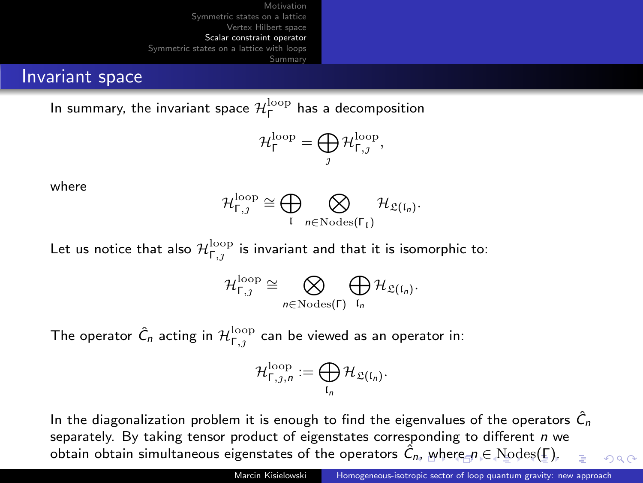#### <span id="page-23-0"></span>Invariant space

In summary, the invariant space  $\mathcal{H}_{\mathsf{\Gamma}}^{\mathrm{loop}}$  has a decomposition

$$
\mathcal{H}^{\rm loop}_\Gamma=\bigoplus_{\jmath}\mathcal{H}^{\rm loop}_{\Gamma,\jmath},
$$

where

$$
\mathcal{H}_{\Gamma,\jmath}^{\text{loop}}\cong \bigoplus_{\mathfrak{l}} \bigotimes_{n\in {\rm Nodes}(\Gamma_{\mathfrak{l}})}\mathcal{H}_{\mathfrak{L}(\mathfrak{l}_n)}.
$$

Let us notice that also  $\mathcal{H}_{\mathsf{\Gamma},\jmath}^{\mathrm{loop}}$  is invariant and that it is isomorphic to:

$$
\mathcal{H}_{\Gamma,\jmath}^{\text{loop}}\cong \bigotimes_{n\in {\rm Nodes}(\Gamma)}\bigoplus_{\mathfrak{l}_n}\mathcal{H}_{\mathfrak{L}(\mathfrak{l}_n)}.
$$

The operator  $\hat{\mathcal{C}}_n$  acting in  $\mathcal{H}^{\mathrm{loop}}_{\mathsf{\Gamma},\jmath}$  can be viewed as an operator in:

$$
\mathcal{H}_{\Gamma,j,n}^{\mathrm{loop}}:=\bigoplus_{\mathfrak{l}_n}\mathcal{H}_{\mathfrak{L}(\mathfrak{l}_n)}.
$$

In the diagonalization problem it is enough to find the eigenvalues of the operators  $\hat{C}_n$ separately. By taking tensor product of eigenstates corresponding to different  $n$  we obtain obtain simultaneous eigenstates of the ope[r](#page-22-0)at[o](#page-23-0)rs  $\hat{C}_n$  $\hat{C}_n$ [,](#page-22-0) [whe](#page-24-0)r[e](#page-23-0)  $n \in \text{Nodes}(E)$  $n \in \text{Nodes}(E)$  $n \in \text{Nodes}(E)$  $n \in \text{Nodes}(E)$  $n \in \text{Nodes}(E)$  $n \in \text{Nodes}(E)$  $n \in \text{Nodes}(E)$  $n \in \text{Nodes}(E)$ .  $\Omega$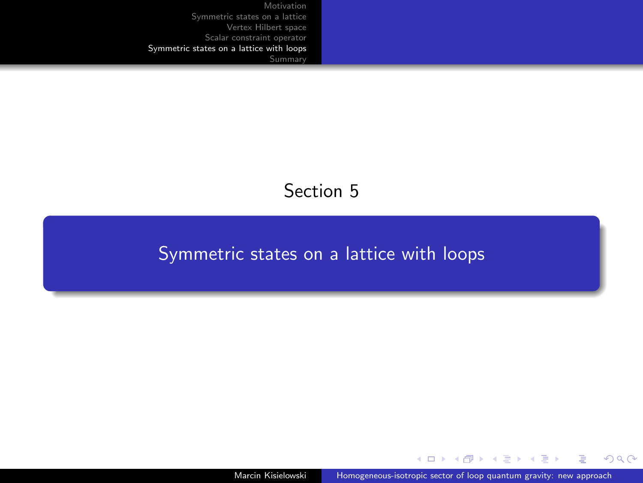### Section 5

#### <span id="page-24-0"></span>[Symmetric states on a lattice with loops](#page-24-0)

Marcin Kisielowski [Homogeneous-isotropic sector of loop quantum gravity: new approach](#page-0-0)

 $\left\{ \begin{array}{ccc} 1 & 0 & 0 \\ 0 & 1 & 0 \end{array} \right.$ 

 $299$ 

∍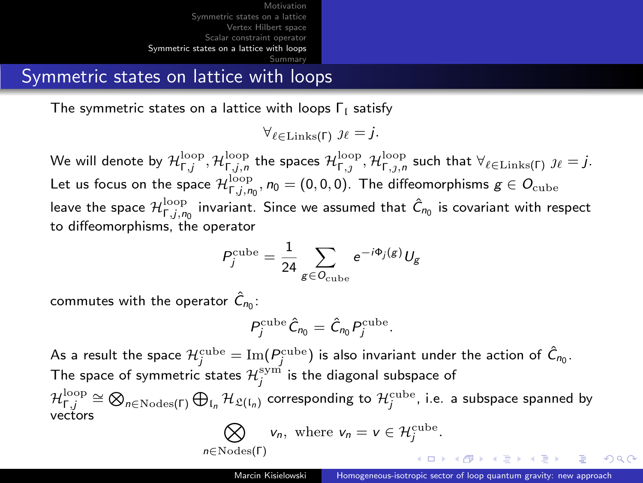Symmetric states on lattice with loops

The symmetric states on a lattice with loops  $\Gamma_1$  satisfy

 $\forall_{\ell \in \text{Links}(\Gamma)} \; \mathcal{U} = j.$ 

We will denote by  $\mathcal H^{\rm loop}_{\Gamma,j},\mathcal H^{\rm loop}_{\Gamma,j,n}$  the spaces  $\mathcal H^{\rm loop}_{\Gamma,j},\mathcal H^{\rm loop}_{\Gamma,j,n}$  such that  $\forall_{\ell\in\operatorname{Links}(\Gamma)}\ j_\ell=j.$ Let us focus on the space  $\mathcal{H}_{\Gamma,j,\eta_0}^{\rm loop},$   $\eta_0=(0,0,0)$ . The diffeomorphisms  $g\in\mathcal{O}_{\rm cube}$ leave the space  $\mathcal{H}_{\Gamma, j, n_0}^{\text{loop}}$  invariant. Since we assumed that  $\hat{C}_{n_0}$  is covariant with respect to diffeomorphisms, the operator

$$
P_j^{\text{cube}} = \frac{1}{24} \sum_{g \in O_{\text{cube}}} e^{-i\Phi_j(g)} U_g
$$

commutes with the operator  $\hat{C}_{n_0}$ :

$$
P_j^{\text{cube}}\hat{C}_{n_0}=\hat{C}_{n_0}P_j^{\text{cube}}.
$$

As a result the space  $\mathcal{H}^{\text{cube}}_j=\text{Im}(\pmb{P}^{\text{cube}}_j)$  is also invariant under the action of  $\hat{\pmb{C}}_{n_0}.$ The space of symmetric states  $\mathcal{H}^{\mathrm{sym}}_j$  is the diagonal subspace of  $\mathcal{H}_{\Gamma,j}^{\mathrm{loop}}\cong\bigotimes_{n\in\mathrm{Nodes}(\Gamma)}\bigoplus_{\mathfrak{l}_n}\mathcal{H}_{\mathfrak{L}(\mathfrak{l}_n)}$  corresponding to  $\mathcal{H}_j^{\mathrm{cube}}$ , i.e. a subspace spanned by vectors

$$
\bigotimes_{n \in \text{Nodes}(\Gamma)} v_n, \text{ where } v_n = v \in \mathcal{H}^{\text{cube}}_j.
$$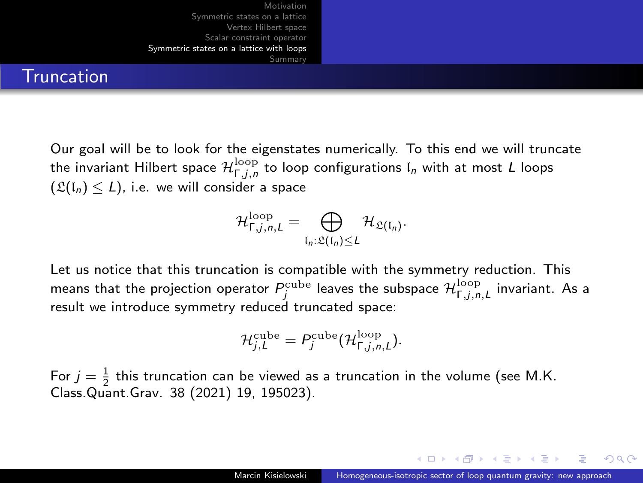

**Truncation** 

Our goal will be to look for the eigenstates numerically. To this end we will truncate the invariant Hilbert space  $\mathcal{H}_{\mathsf{\Gamma},j,n}^{\mathrm{loop}}$  to loop configurations  $\mathfrak{l}_n$  with at most  $L$  loops  $(\mathfrak{L}(\mathfrak{l}_n) < L)$ , i.e. we will consider a space

$$
\mathcal{H}_{\Gamma,j,n,L}^{\text{loop}} = \bigoplus_{\mathfrak{l}_n:\mathfrak{L}(\mathfrak{l}_n)\leq L} \mathcal{H}_{\mathfrak{L}(\mathfrak{l}_n)}.
$$

Let us notice that this truncation is compatible with the symmetry reduction. This means that the projection operator  $P^{\rm cube}_j$  leaves the subspace  $\mathcal{H}^{\rm loop}_{\Gamma,j,n,L}$  invariant. As a result we introduce symmetry reduced truncated space:

$$
\mathcal{H}^{\text{cube}}_{j,L} = P^{\text{cube}}_j(\mathcal{H}^{\text{loop}}_{\Gamma,j,n,L}).
$$

For  $j = \frac{1}{2}$  this truncation can be viewed as a truncation in the volume (see M.K. Class.Quant.Grav. 38 (2021) 19, 195023).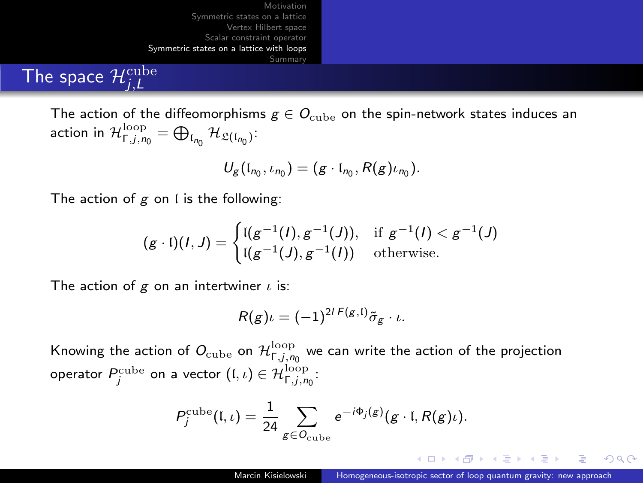# The space  $\mathcal{H}^{\text{cube}}_{j,L}$

The action of the diffeomorphisms  $g \in O_{\text{cube}}$  on the spin-network states induces an action in  $\mathcal{H}_{\Gamma,j,n_0}^{\text{loop}} = \bigoplus_{\mathfrak{l}_{n_0}} \mathcal{H}_{\mathfrak{L}(\mathfrak{l}_{n_0})}$ :

$$
U_g(\mathfrak{l}_{n_0},\iota_{n_0})=(g\cdot\mathfrak{l}_{n_0},R(g)\iota_{n_0}).
$$

The action of  $g$  on  $\mathfrak l$  is the following:

$$
(g \cdot \mathfrak{l})(I, J) = \begin{cases} \mathfrak{l}(g^{-1}(I), g^{-1}(J)), & \text{if } g^{-1}(I) < g^{-1}(J) \\ \mathfrak{l}(g^{-1}(J), g^{-1}(I)) & \text{otherwise.} \end{cases}
$$

The action of g on an intertwiner  $\iota$  is:

$$
R(g)\iota = (-1)^{2l\,F(g,\mathfrak{l})}\tilde{\sigma}_g \cdot \iota.
$$

Knowing the action of  $O_{\mathrm{cube}}$  on  $\mathcal{H}_{\Gamma,j,n_0}^{\mathrm{loop}}$  we can write the action of the projection operator  $P^{\text{cube}}_j$  on a vector  $(\mathfrak{l}, \iota) \in \mathcal{H}_{\mathsf{F}, j, n_0}^{\text{loop}}$ :

$$
P_j^{\text{cube}}(\mathfrak{l},\iota)=\frac{1}{24}\sum_{g\in O_{\text{cube}}}e^{-i\Phi_j(g)}(g\cdot\mathfrak{l},R(g)\iota).
$$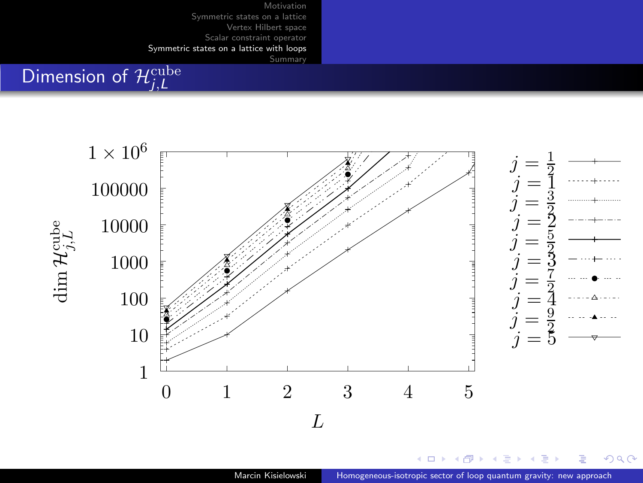# Dimension of  $\mathcal{H}^{\text{cube}}_{j,L}$



 $\left\{ \left\vert \left\langle \left\langle \left\langle \mathbf{q} \right\rangle \right\rangle \right\rangle \right\vert \left\langle \mathbf{q} \right\rangle \right\vert \left\langle \mathbf{q} \right\rangle \right\vert \left\langle \mathbf{q} \right\rangle \right\vert \left\langle \mathbf{q} \right\rangle \right\vert$ 

 $299$ 

Ε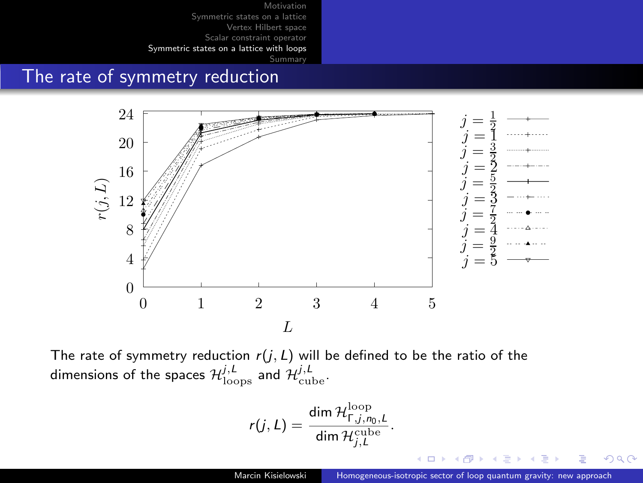[Summary](#page-30-0)

#### The rate of symmetry reduction



The rate of symmetry reduction  $r(j, L)$  will be defined to be the ratio of the dimensions of the spaces  $\mathcal{H}_{\text{loops}}^{j,l}$  and  $\mathcal{H}_{\text{cube}}^{j,l}$ .

$$
r(j, L) = \frac{\dim \mathcal{H}_{\Gamma, j, n_0, L}^{\text{loop}}}{\dim \mathcal{H}_{j, L}^{\text{cube}}}.
$$

 $QQ$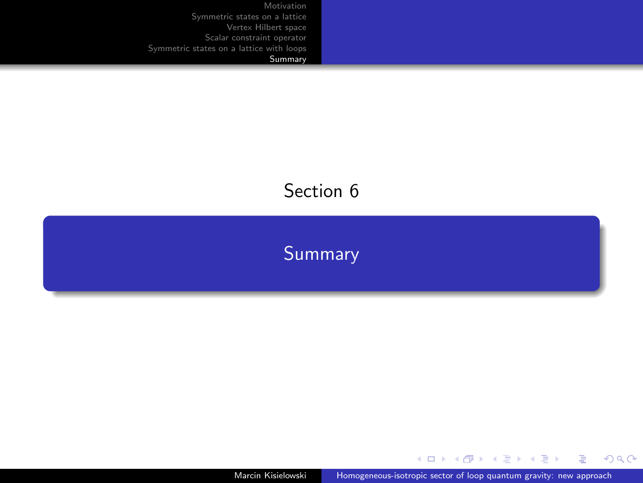# <span id="page-30-0"></span>Section 6

**[Summary](#page-30-0)** 

Marcin Kisielowski [Homogeneous-isotropic sector of loop quantum gravity: new approach](#page-0-0)

メロトメ 御 トメ ミトメ ミト

毛し  $299$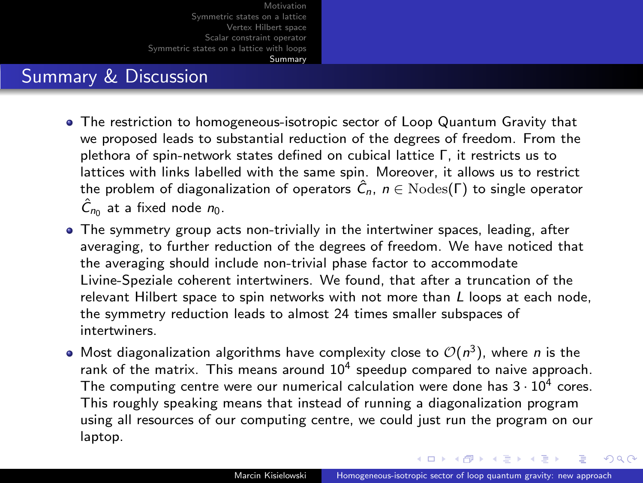#### Summary & Discussion

- The restriction to homogeneous-isotropic sector of Loop Quantum Gravity that we proposed leads to substantial reduction of the degrees of freedom. From the plethora of spin-network states defined on cubical lattice Γ, it restricts us to lattices with links labelled with the same spin. Moreover, it allows us to restrict the problem of diagonalization of operators  $\hat{C}_n$ ,  $n \in \text{Nodes}(\Gamma)$  to single operator  $\hat{C}_{n_0}$  at a fixed node  $n_0$ .
- The symmetry group acts non-trivially in the intertwiner spaces, leading, after averaging, to further reduction of the degrees of freedom. We have noticed that the averaging should include non-trivial phase factor to accommodate Livine-Speziale coherent intertwiners. We found, that after a truncation of the relevant Hilbert space to spin networks with not more than  $L$  loops at each node, the symmetry reduction leads to almost 24 times smaller subspaces of intertwiners.
- Most diagonalization algorithms have complexity close to  $\mathcal{O}(n^3)$ , where *n* is the rank of the matrix. This means around  $10^4$  speedup compared to naive approach. The computing centre were our numerical calculation were done has  $3 \cdot 10^4$  cores. This roughly speaking means that instead of running a diagonalization program using all resources of our computing centre, we could just run the program on our laptop.

イロ トラ 相 トラ ミ ヨ トラ ヨ ト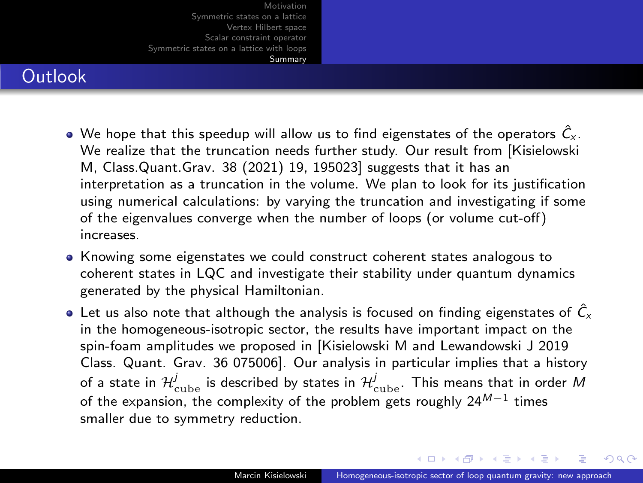#### **Outlook**

- $\bullet$  We hope that this speedup will allow us to find eigenstates of the operators  $\hat{C}_{\check{v}}$ . We realize that the truncation needs further study. Our result from [Kisielowski M, Class.Quant.Grav. 38 (2021) 19, 195023] suggests that it has an interpretation as a truncation in the volume. We plan to look for its justification using numerical calculations: by varying the truncation and investigating if some of the eigenvalues converge when the number of loops (or volume cut-off) increases.
- Knowing some eigenstates we could construct coherent states analogous to coherent states in LQC and investigate their stability under quantum dynamics generated by the physical Hamiltonian.
- $\bullet$  Let us also note that although the analysis is focused on finding eigenstates of  $\hat{C}_x$ in the homogeneous-isotropic sector, the results have important impact on the spin-foam amplitudes we proposed in [Kisielowski M and Lewandowski J 2019 Class. Quant. Grav. 36 075006]. Our analysis in particular implies that a history of a state in  $\mathcal{H}^j_{\rm cube}$  is described by states in  $\mathcal{H}^j_{\rm cube}$ . This means that in order  $M$ of the expansion, the complexity of the problem gets roughly 24 $^{{\it M}-1}$  times smaller due to symmetry reduction.

イロ トラ 相 トラ ミ ヨ トラ ヨ ト